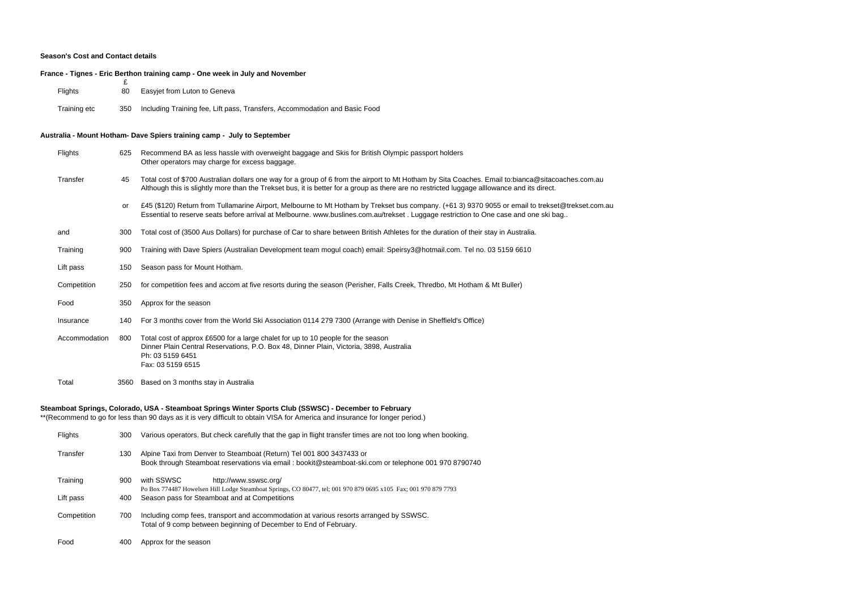## **Season's Cost and Contact details**

## **France - Tignes - Eric Berthon training camp - One week in July and November**

| <b>Flights</b> | 80  | Easyjet from Luton to Geneva                                               |
|----------------|-----|----------------------------------------------------------------------------|
| Training etc   | 350 | Including Training fee, Lift pass, Transfers, Accommodation and Basic Food |

## **Australia - Mount Hotham- Dave Spiers training camp - July to September**

| Flights       | 625  | Recommend BA as less hassle with overweight baggage and Skis for British Olympic passport holders<br>Other operators may charge for excess baggage.                                                                                                                                              |
|---------------|------|--------------------------------------------------------------------------------------------------------------------------------------------------------------------------------------------------------------------------------------------------------------------------------------------------|
| Transfer      | 45   | Total cost of \$700 Australian dollars one way for a group of 6 from the airport to Mt Hotham by Sita Coaches. Email to:bianca@sitacoaches.com.au<br>Although this is slightly more than the Trekset bus, it is better for a group as there are no restricted luggage alllowance and its direct. |
|               | or   | £45 (\$120) Return from Tullamarine Airport, Melbourne to Mt Hotham by Trekset bus company. (+61 3) 9370 9055 or email to trekset@trekset.com.au<br>Essential to reserve seats before arrival at Melbourne. www.buslines.com.au/trekset. Luggage restriction to One case and one ski bag         |
| and           | 300  | Total cost of (3500 Aus Dollars) for purchase of Car to share between British Athletes for the duration of their stay in Australia.                                                                                                                                                              |
| Training      | 900  | Training with Dave Spiers (Australian Development team mogul coach) email: Speirsy3@hotmail.com. Tel no. 03 5159 6610                                                                                                                                                                            |
| Lift pass     | 150  | Season pass for Mount Hotham.                                                                                                                                                                                                                                                                    |
| Competition   | 250  | for competition fees and accom at five resorts during the season (Perisher, Falls Creek, Thredbo, Mt Hotham & Mt Buller)                                                                                                                                                                         |
| Food          | 350  | Approx for the season                                                                                                                                                                                                                                                                            |
| Insurance     | 140  | For 3 months cover from the World Ski Association 0114 279 7300 (Arrange with Denise in Sheffield's Office)                                                                                                                                                                                      |
| Accommodation | 800  | Total cost of approx £6500 for a large chalet for up to 10 people for the season<br>Dinner Plain Central Reservations, P.O. Box 48, Dinner Plain, Victoria, 3898, Australia<br>Ph: 03 5159 6451<br>Fax: 03 5159 6515                                                                             |
| Total         | 3560 | Based on 3 months stay in Australia                                                                                                                                                                                                                                                              |
|               |      | Steamboat Springs, Colorado, USA - Steamboat Springs Winter Sports Club (SSWSC) - December to February<br>$*$ (December of the section from them 00 develops it is vany difficult to obtain $1/100$ for Associace and incurrence for language neglect                                            |

\*\*(Recommend to go for less than 90 days as it is very difficult to obtain VISA for America and insurance for longer period.)

| <b>Flights</b> | 300 | Various operators. But check carefully that the gap in flight transfer times are not too long when booking.                                                                   |
|----------------|-----|-------------------------------------------------------------------------------------------------------------------------------------------------------------------------------|
| Transfer       | 130 | Alpine Taxi from Denver to Steamboat (Return) Tel 001 800 3437433 or<br>Book through Steamboat reservations via email : bookit@steamboat-ski.com or telephone 001 970 8790740 |
| Training       | 900 | with SSWSC<br>http://www.sswsc.org/                                                                                                                                           |
| Lift pass      | 400 | Po Box 774487 Howelsen Hill Lodge Steamboat Springs, CO 80477, tel; 001 970 879 0695 x105 Fax; 001 970 879 7793<br>Season pass for Steamboat and at Competitions              |
| Competition    | 700 | Including comp fees, transport and accommodation at various resorts arranged by SSWSC.<br>Total of 9 comp between beginning of December to End of February.                   |
| Food           | 400 | Approx for the season                                                                                                                                                         |